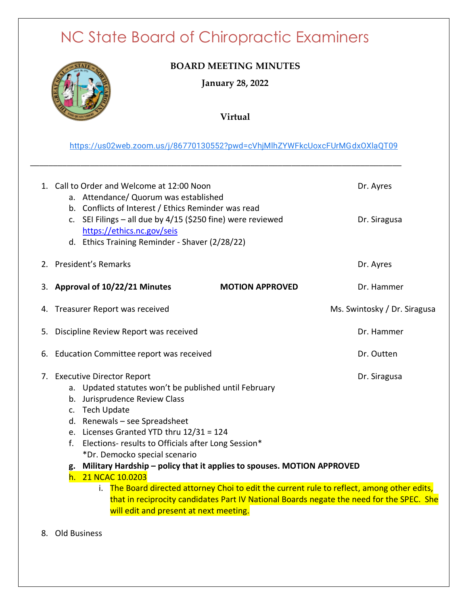# NC State Board of Chiropractic Examiners



#### **BOARD MEETING MINUTES**

**January 28, 2022** 

**Virtual**

[https://us02web.zoom.us/j/86770130552?pwd=cVhjMlhZYWFkcUoxcFUrMGdxOXlaQT09](https://www.google.com/url?q=https://us02web.zoom.us/j/86770130552?pwd%3DcVhjMlhZYWFkcUoxcFUrMGdxOXlaQT09&sa=D&source=calendar&usd=2&usg=AOvVaw3zHgWapwqGu2nEat0qb-Ej)

**\_\_\_\_\_\_\_\_\_\_\_\_\_\_\_\_\_\_\_\_\_\_\_\_\_\_\_\_\_\_\_\_\_\_\_\_\_\_\_\_\_\_\_\_\_\_\_\_\_\_\_\_\_\_\_\_\_\_\_\_\_\_\_\_\_\_\_\_\_\_\_\_\_\_\_\_\_\_\_\_\_**

|    | 1. Call to Order and Welcome at 12:00 Noon<br>a. Attendance/ Quorum was established<br>b. Conflicts of Interest / Ethics Reminder was read<br>c. SEI Filings - all due by $4/15$ (\$250 fine) were reviewed<br>https://ethics.nc.gov/seis<br>d. Ethics Training Reminder - Shaver (2/28/22)                                                                                                                                                                                                                                                                                                                                                              | Dr. Ayres<br>Dr. Siragusa    |
|----|----------------------------------------------------------------------------------------------------------------------------------------------------------------------------------------------------------------------------------------------------------------------------------------------------------------------------------------------------------------------------------------------------------------------------------------------------------------------------------------------------------------------------------------------------------------------------------------------------------------------------------------------------------|------------------------------|
|    | 2. President's Remarks                                                                                                                                                                                                                                                                                                                                                                                                                                                                                                                                                                                                                                   | Dr. Ayres                    |
|    | 3. Approval of 10/22/21 Minutes<br><b>MOTION APPROVED</b>                                                                                                                                                                                                                                                                                                                                                                                                                                                                                                                                                                                                | Dr. Hammer                   |
|    | 4. Treasurer Report was received                                                                                                                                                                                                                                                                                                                                                                                                                                                                                                                                                                                                                         | Ms. Swintosky / Dr. Siragusa |
| 5. | Discipline Review Report was received                                                                                                                                                                                                                                                                                                                                                                                                                                                                                                                                                                                                                    | Dr. Hammer                   |
|    | 6. Education Committee report was received                                                                                                                                                                                                                                                                                                                                                                                                                                                                                                                                                                                                               | Dr. Outten                   |
|    | 7. Executive Director Report<br>a. Updated statutes won't be published until February<br>b. Jurisprudence Review Class<br>c. Tech Update<br>d. Renewals - see Spreadsheet<br>e. Licenses Granted YTD thru 12/31 = 124<br>Elections- results to Officials after Long Session*<br>f.<br>*Dr. Democko special scenario<br>g. Military Hardship - policy that it applies to spouses. MOTION APPROVED<br>h. 21 NCAC 10.0203<br>The Board directed attorney Choi to edit the current rule to reflect, among other edits,<br>that in reciprocity candidates Part IV National Boards negate the need for the SPEC. She<br>will edit and present at next meeting. | Dr. Siragusa                 |

8. Old Business